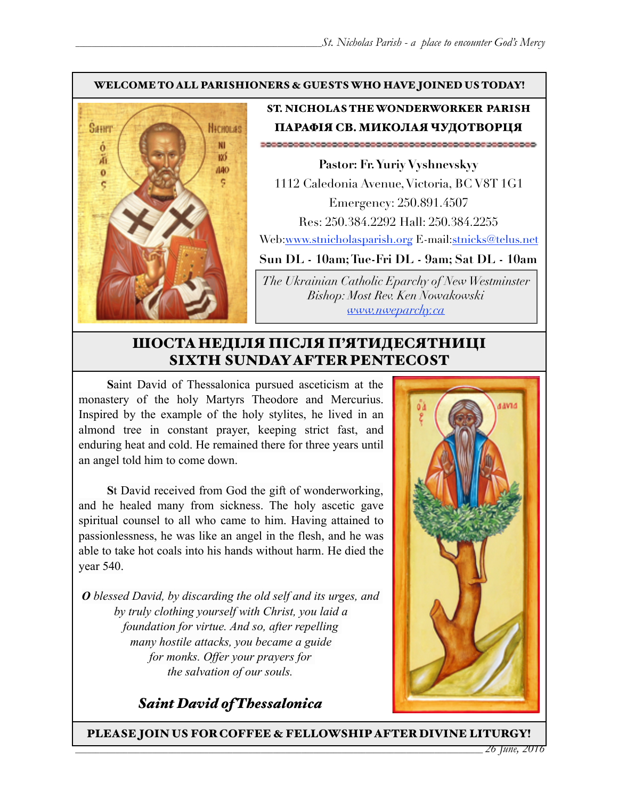#### WELCOME TO ALL PARISHIONERS & GUESTS WHO HAVE JOINED US TODAY!



## ST. NICHOLAS THE WONDERWORKER PARISH ПАРАФІЯ СВ. МИКОЛАЯ ЧУДОТВОРЦЯ

**Pastor: Fr. Yuriy Vyshnevskyy** 1112 Caledonia Avenue, Victoria, BC V8T 1G1 Emergency: 250.891.4507 Res: 250.384.2292 Hall: 250.384.2255 Web:[www.stnicholasparish.org](http://www.stnicholasparish.org) E-mail[:stnicks@telus.net](mailto:stnicks@telus.net)

**Sun DL - 10am; Tue-Fri DL - 9am; Sat DL - 10am** 

*The Ukrainian Catholic Eparchy of New Westminster Bishop: Most Rev. Ken Nowakowski [www.nweparchy.ca](http://www.nweparchy.ca)*

# ШОСТАНЕДІЛЯ ПІСЛЯ П'ЯТИДЕСЯТНИЦІ SIXTH SUNDAY AFTER PENTECOST

**S**aint David of Thessalonica pursued asceticism at the monastery of the holy Martyrs Theodore and Mercurius. Inspired by the example of the holy stylites, he lived in an almond tree in constant prayer, keeping strict fast, and enduring heat and cold. He remained there for three years until an angel told him to come down.

**S**t David received from God the gift of wonderworking, and he healed many from sickness. The holy ascetic gave spiritual counsel to all who came to him. Having attained to passionlessness, he was like an angel in the flesh, and he was able to take hot coals into his hands without harm. He died the year 540.

*O blessed David, by discarding the old self and its urges, and by truly clothing yourself with Christ, you laid a foundation for virtue. And so, after repelling many hostile attacks, you became a guide for monks. Offer your prayers for the salvation of our souls.*





PLEASE JOIN US FOR COFFEE & FELLOWSHIP AFTER DIVINE LITURGY!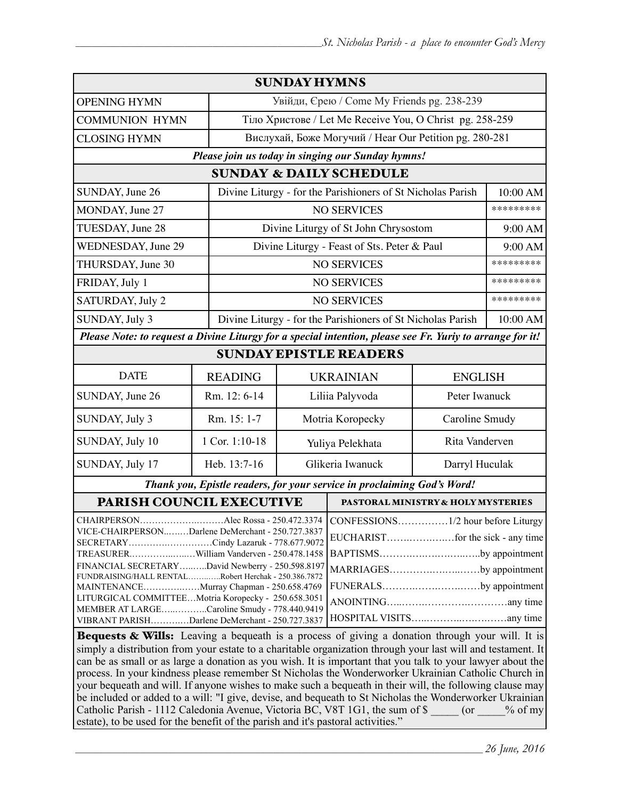| <b>SUNDAY HYMNS</b>                                                                                                                                                                                                                                                                                                                                                                                                                                                                                                                                                                                                                                             |                |                                                             |                                                             |                                                                             |                |  |
|-----------------------------------------------------------------------------------------------------------------------------------------------------------------------------------------------------------------------------------------------------------------------------------------------------------------------------------------------------------------------------------------------------------------------------------------------------------------------------------------------------------------------------------------------------------------------------------------------------------------------------------------------------------------|----------------|-------------------------------------------------------------|-------------------------------------------------------------|-----------------------------------------------------------------------------|----------------|--|
| <b>OPENING HYMN</b>                                                                                                                                                                                                                                                                                                                                                                                                                                                                                                                                                                                                                                             |                | Увійди, Єрею / Come My Friends pg. 238-239                  |                                                             |                                                                             |                |  |
| <b>COMMUNION HYMN</b>                                                                                                                                                                                                                                                                                                                                                                                                                                                                                                                                                                                                                                           |                | Тіло Христове / Let Me Receive You, O Christ pg. 258-259    |                                                             |                                                                             |                |  |
| <b>CLOSING HYMN</b>                                                                                                                                                                                                                                                                                                                                                                                                                                                                                                                                                                                                                                             |                | Вислухай, Боже Могучий / Hear Our Petition pg. 280-281      |                                                             |                                                                             |                |  |
| Please join us today in singing our Sunday hymns!                                                                                                                                                                                                                                                                                                                                                                                                                                                                                                                                                                                                               |                |                                                             |                                                             |                                                                             |                |  |
| <b>SUNDAY &amp; DAILY SCHEDULE</b>                                                                                                                                                                                                                                                                                                                                                                                                                                                                                                                                                                                                                              |                |                                                             |                                                             |                                                                             |                |  |
| SUNDAY, June 26                                                                                                                                                                                                                                                                                                                                                                                                                                                                                                                                                                                                                                                 |                |                                                             | Divine Liturgy - for the Parishioners of St Nicholas Parish |                                                                             | 10:00 AM       |  |
| MONDAY, June 27                                                                                                                                                                                                                                                                                                                                                                                                                                                                                                                                                                                                                                                 |                |                                                             | <b>NO SERVICES</b>                                          |                                                                             | *********      |  |
| TUESDAY, June 28                                                                                                                                                                                                                                                                                                                                                                                                                                                                                                                                                                                                                                                |                | Divine Liturgy of St John Chrysostom                        |                                                             |                                                                             | 9:00 AM        |  |
| <b>WEDNESDAY</b> , June 29                                                                                                                                                                                                                                                                                                                                                                                                                                                                                                                                                                                                                                      |                | Divine Liturgy - Feast of Sts. Peter & Paul                 |                                                             |                                                                             | 9:00 AM        |  |
| THURSDAY, June 30                                                                                                                                                                                                                                                                                                                                                                                                                                                                                                                                                                                                                                               |                | <b>NO SERVICES</b>                                          |                                                             |                                                                             | *********      |  |
| FRIDAY, July 1                                                                                                                                                                                                                                                                                                                                                                                                                                                                                                                                                                                                                                                  |                | <b>NO SERVICES</b>                                          |                                                             |                                                                             | *********      |  |
| SATURDAY, July 2                                                                                                                                                                                                                                                                                                                                                                                                                                                                                                                                                                                                                                                |                | <b>NO SERVICES</b>                                          |                                                             |                                                                             | *********      |  |
| SUNDAY, July 3                                                                                                                                                                                                                                                                                                                                                                                                                                                                                                                                                                                                                                                  |                | Divine Liturgy - for the Parishioners of St Nicholas Parish |                                                             |                                                                             | 10:00 AM       |  |
| Please Note: to request a Divine Liturgy for a special intention, please see Fr. Yuriy to arrange for it!                                                                                                                                                                                                                                                                                                                                                                                                                                                                                                                                                       |                |                                                             |                                                             |                                                                             |                |  |
| <b>SUNDAY EPISTLE READERS</b>                                                                                                                                                                                                                                                                                                                                                                                                                                                                                                                                                                                                                                   |                |                                                             |                                                             |                                                                             |                |  |
| <b>DATE</b>                                                                                                                                                                                                                                                                                                                                                                                                                                                                                                                                                                                                                                                     | <b>READING</b> | <b>UKRAINIAN</b>                                            |                                                             |                                                                             | <b>ENGLISH</b> |  |
| SUNDAY, June 26                                                                                                                                                                                                                                                                                                                                                                                                                                                                                                                                                                                                                                                 | Rm. 12: 6-14   | Liliia Palyvoda                                             |                                                             | Peter Iwanuck                                                               |                |  |
| SUNDAY, July 3                                                                                                                                                                                                                                                                                                                                                                                                                                                                                                                                                                                                                                                  | Rm. 15: 1-7    | Motria Koropecky                                            |                                                             | Caroline Smudy                                                              |                |  |
| SUNDAY, July 10                                                                                                                                                                                                                                                                                                                                                                                                                                                                                                                                                                                                                                                 | 1 Cor. 1:10-18 | Yuliya Pelekhata                                            |                                                             | Rita Vanderven                                                              |                |  |
| SUNDAY, July 17                                                                                                                                                                                                                                                                                                                                                                                                                                                                                                                                                                                                                                                 | Heb. 13:7-16   | Glikeria Iwanuck                                            |                                                             |                                                                             | Darryl Huculak |  |
| Thank you, Epistle readers, for your service in proclaiming God's Word!                                                                                                                                                                                                                                                                                                                                                                                                                                                                                                                                                                                         |                |                                                             |                                                             |                                                                             |                |  |
| PARISH COUNCIL EXECUTIVE                                                                                                                                                                                                                                                                                                                                                                                                                                                                                                                                                                                                                                        |                |                                                             | PASTORAL MINISTRY & HOLY MYSTERIES                          |                                                                             |                |  |
| Alec Rossa - 250.472.3374   CONFESSIONS1/2 hour before Liturgy<br><b>CHAIRPERSON</b><br>VICE-CHAIRPERSONDarlene DeMerchant - 250.727.3837<br>SECRETARYCindy Lazaruk - 778.677.9072<br>TREASURERWilliam Vanderven - 250.478.1458<br>FINANCIAL SECRETARYDavid Newberry - 250.598.8197<br>FUNDRAISING/HALL RENTALRobert Herchak - 250.386.7872<br>MAINTENANCEMurray Chapman - 250.658.4769<br>LITURGICAL COMMITTEEMotria Koropecky - 250.658.3051<br>MEMBER AT LARGECaroline Smudy - 778.440.9419<br>VIBRANT PARISHDarlene DeMerchant - 250.727.3837<br><b>Bequests &amp; Wills:</b> Leaving a bequeath is a process of giving a donation through your will. It is |                |                                                             |                                                             | BAPTISMSby appointment<br>MARRIAGESby appointment<br>FUNERALSby appointment |                |  |
| simply a distribution from your estate to a charitable organization through your last will and testament. It<br>can be as small or as large a donation as you wish. It is important that you talk to your lawyer about the                                                                                                                                                                                                                                                                                                                                                                                                                                      |                |                                                             |                                                             |                                                                             |                |  |

process. In your kindness please remember St Nicholas the Wonderworker Ukrainian Catholic Church in your bequeath and will. If anyone wishes to make such a bequeath in their will, the following clause may be included or added to a will: "I give, devise, and bequeath to St Nicholas the Wonderworker Ukrainian Catholic Parish - 1112 Caledonia Avenue, Victoria BC, V8T 1G1, the sum of \$ \_\_\_\_\_ (or \_\_\_\_% of my estate), to be used for the benefit of the parish and it's pastoral activities."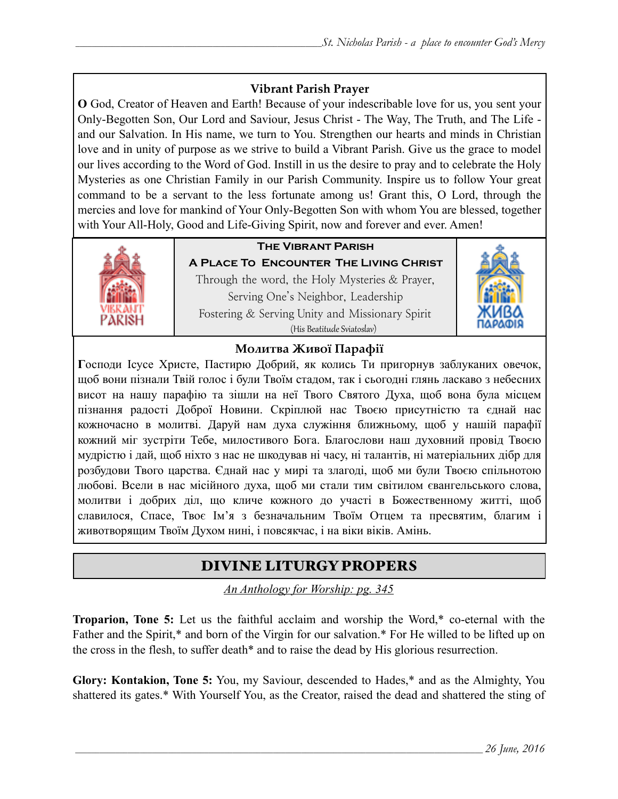#### **Vibrant Parish Prayer**

**O** God, Creator of Heaven and Earth! Because of your indescribable love for us, you sent your Only-Begotten Son, Our Lord and Saviour, Jesus Christ - The Way, The Truth, and The Life and our Salvation. In His name, we turn to You. Strengthen our hearts and minds in Christian love and in unity of purpose as we strive to build a Vibrant Parish. Give us the grace to model our lives according to the Word of God. Instill in us the desire to pray and to celebrate the Holy Mysteries as one Christian Family in our Parish Community. Inspire us to follow Your great command to be a servant to the less fortunate among us! Grant this, O Lord, through the mercies and love for mankind of Your Only-Begotten Son with whom You are blessed, together with Your All-Holy, Good and Life-Giving Spirit, now and forever and ever. Amen!



# **The Vibrant Parish**

**A Place To Encounter The Living Christ** Through the word, the Holy Mysteries  $&$  Prayer, Serving One's Neighbor, Leadership Fostering & Serving Unity and Missionary Spirit (His Beatitude Sviatoslav)



#### **Молитва Живої Парафії**

**Г**осподи Ісусе Христе, Пастирю Добрий, як колись Ти пригорнув заблуканих овечок, щоб вони пізнали Твій голос і були Твоїм стадом, так і сьогодні глянь ласкаво з небесних висот на нашу парафію та зішли на неї Твого Святого Духа, щоб вона була місцем пізнання радості Доброї Новини. Скріплюй нас Твоєю присутністю та єднай нас кожночасно в молитві. Даруй нам духа служіння ближньому, щоб у нашій парафії кожний міг зустріти Тебе, милостивого Бога. Благослови наш духовний провід Твоєю мудрістю і дай, щоб ніхто з нас не шкодував ні часу, ні талантів, ні матеріальних дібр для розбудови Твого царства. Єднай нас у мирі та злагоді, щоб ми були Твоєю спільнотою любові. Всели в нас місійного духа, щоб ми стали тим світилом євангельського слова, молитви і добрих діл, що кличе кожного до участі в Божественному житті, щоб славилося, Спасе, Твоє Ім'я з безначальним Твоїм Отцем та пресвятим, благим і животворящим Твоїм Духом нині, і повсякчас, і на віки віків. Амінь.

# DIVINE LITURGY PROPERS

*An Anthology for Worship: pg. 345* 

**Troparion, Tone 5:** Let us the faithful acclaim and worship the Word,\* co-eternal with the Father and the Spirit,\* and born of the Virgin for our salvation.\* For He willed to be lifted up on the cross in the flesh, to suffer death\* and to raise the dead by His glorious resurrection.

**Glory: Kontakion, Tone 5:** You, my Saviour, descended to Hades,\* and as the Almighty, You shattered its gates.\* With Yourself You, as the Creator, raised the dead and shattered the sting of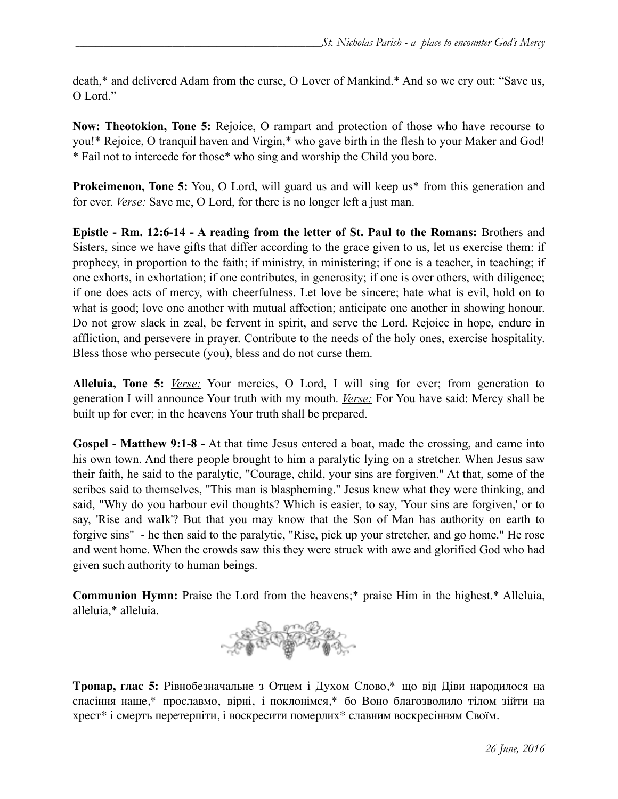death,\* and delivered Adam from the curse, O Lover of Mankind.\* And so we cry out: "Save us, O Lord<sup>"</sup>

**Now: Theotokion, Tone 5:** Rejoice, O rampart and protection of those who have recourse to you!\* Rejoice, O tranquil haven and Virgin,\* who gave birth in the flesh to your Maker and God! \* Fail not to intercede for those\* who sing and worship the Child you bore.

**Prokeimenon, Tone 5:** You, O Lord, will guard us and will keep us<sup>\*</sup> from this generation and for ever. *Verse:* Save me, O Lord, for there is no longer left a just man.

**Epistle - Rm. 12:6-14 - A reading from the letter of St. Paul to the Romans:** Brothers and Sisters, since we have gifts that differ according to the grace given to us, let us exercise them: if prophecy, in proportion to the faith; if ministry, in ministering; if one is a teacher, in teaching; if one exhorts, in exhortation; if one contributes, in generosity; if one is over others, with diligence; if one does acts of mercy, with cheerfulness. Let love be sincere; hate what is evil, hold on to what is good; love one another with mutual affection; anticipate one another in showing honour. Do not grow slack in zeal, be fervent in spirit, and serve the Lord. Rejoice in hope, endure in affliction, and persevere in prayer. Contribute to the needs of the holy ones, exercise hospitality. Bless those who persecute (you), bless and do not curse them.

**Alleluia, Tone 5:** *Verse:* Your mercies, O Lord, I will sing for ever; from generation to generation I will announce Your truth with my mouth. *Verse:* For You have said: Mercy shall be built up for ever; in the heavens Your truth shall be prepared.

**Gospel - Matthew 9:1-8 -** At that time Jesus entered a boat, made the crossing, and came into his own town. And there people brought to him a paralytic lying on a stretcher. When Jesus saw their faith, he said to the paralytic, "Courage, child, your sins are forgiven." At that, some of the scribes said to themselves, "This man is blaspheming." Jesus knew what they were thinking, and said, "Why do you harbour evil thoughts? Which is easier, to say, 'Your sins are forgiven,' or to say, 'Rise and walk'? But that you may know that the Son of Man has authority on earth to forgive sins" - he then said to the paralytic, "Rise, pick up your stretcher, and go home." He rose and went home. When the crowds saw this they were struck with awe and glorified God who had given such authority to human beings.

**Communion Hymn:** Praise the Lord from the heavens;\* praise Him in the highest.\* Alleluia, alleluia,\* alleluia.



**Тропар, глас 5:** Рівнобезначальне з Отцем і Духом Слово,\* що від Діви народилося на спасіння наше,\* прославмо, вірні, і поклонімся,\* бо Воно благозволило тілом зійти на хрест\* і смерть перетерпіти, і воскресити померлих\* славним воскресінням Своїм.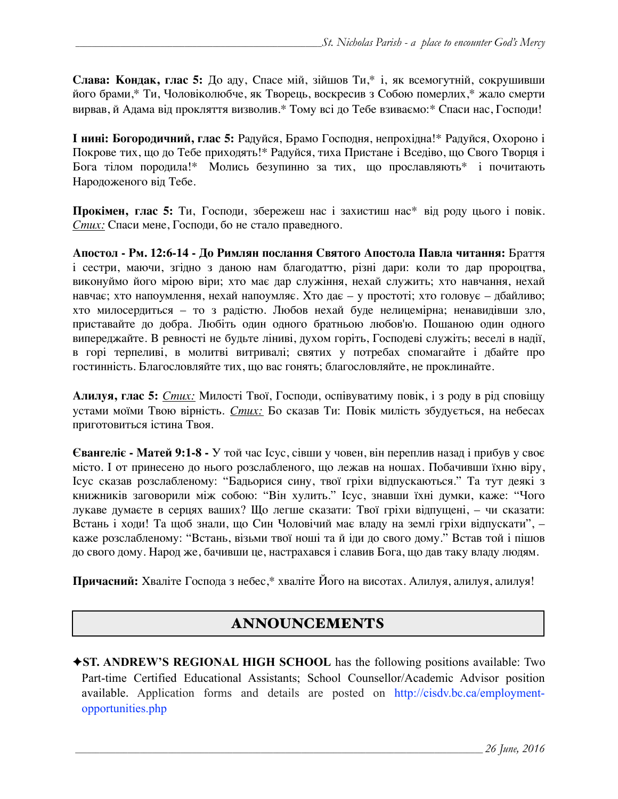**Слава: Кондак, глас 5:** До аду, Спасе мій, зійшов Ти,\* і, як всемогутній, сокрушивши його брами,\* Ти, Чоловіколюбче, як Творець, воскресив з Собою померлих,\* жало смерти вирвав, й Адама від прокляття визволив.\* Тому всі до Тебе взиваємо:\* Спаси нас, Господи!

**І нині: Богородичний, глас 5:** Радуйся, Брамо Господня, непрохідна!\* Радуйся, Охороно і Покрове тих, що до Тебе приходять!\* Радуйся, тиха Пристане і Вседіво, що Свого Творця і Бога тілом породила!\* Молись безупинно за тих, що прославляють\* і почитають Народоженого від Тебе.

**Прокімен, глас 5:** Ти, Господи, збережеш нас і захистиш нас\* від роду цього і повік. *Стих:* Спаси мене, Господи, бо не стало праведного.

**Апостол - Рм. 12:6-14 - До Римлян послання Святого Апостола Павла читання:** Браття і сестри, маючи, згідно з даною нам благодаттю, різні дари: коли то дар пророцтва, виконуймо його мірою віри; хто має дар служіння, нехай служить; хто навчання, нехай навчає; хто напоумлення, нехай напоумляє. Хто дає – у простоті; хто головує – дбайливо; хто милосердиться – то з радістю. Любов нехай буде нелицемірна; ненавидівши зло, приставайте до добра. Любіть один одного братньою любов'ю. Пошаною один одного випереджайте. В ревності не будьте ліниві, духом горіть, Господеві служіть; веселі в надії, в горі терпеливі, в молитві витривалі; святих у потребах спомагайте і дбайте про гостинність. Благословляйте тих, що вас гонять; благословляйте, не проклинайте.

**Алилуя, глас 5:** *Стих:* Милості Твої, Господи, оспівуватиму повік, і з роду в рід сповіщу устами моїми Твою вірність. *Стих:* Бо сказав Ти: Повік милість збудується, на небесах приготовиться істина Твоя.

**Євангеліє - Матей 9:1-8 -** У той час Ісус, сівши у човен, він переплив назад і прибув у своє місто. І от принесено до нього розслабленого, що лежав на ношах. Побачивши їхню віру, Ісус сказав розслабленому: "Бадьорися сину, твої гріхи відпускаються." Та тут деякі з книжників заговорили між собою: "Він хулить." Ісус, знавши їхні думки, каже: "Чого лукаве думаєте в серцях ваших? Що легше сказати: Твої гріхи відпущені, – чи сказати: Встань і ходи! Та щоб знали, що Син Чоловічий має владу на землі гріхи відпускати", – каже розслабленому: "Встань, візьми твої ноші та й іди до свого дому." Встав той і пішов до свого дому. Народ же, бачивши це, настрахався і славив Бога, що дав таку владу людям.

**Причасний:** Хваліте Господа з небес,\* хваліте Його на висотах. Алилуя, алилуя, алилуя!

## ANNOUNCEMENTS

✦**ST. ANDREW'S REGIONAL HIGH SCHOOL** has the following positions available: Two Part-time Certified Educational Assistants; School Counsellor/Academic Advisor position available. [Application forms and details are posted on http://cisdv.bc.ca/employment](http://cisdv.bc.ca/employment-opportunities.php)opportunities.php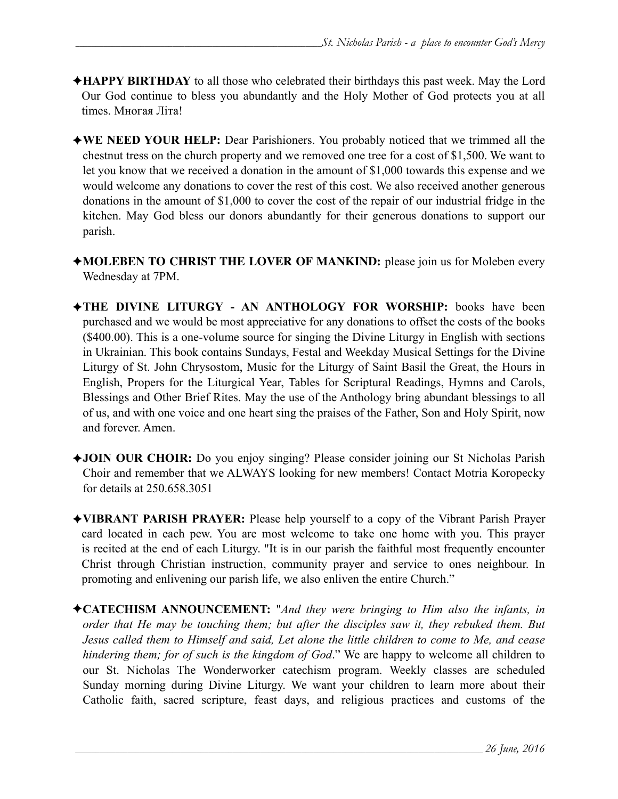- ✦**HAPPY BIRTHDAY** to all those who celebrated their birthdays this past week. May the Lord Our God continue to bless you abundantly and the Holy Mother of God protects you at all times. Многая Літа!
- ✦**WE NEED YOUR HELP:** Dear Parishioners. You probably noticed that we trimmed all the chestnut tress on the church property and we removed one tree for a cost of \$1,500. We want to let you know that we received a donation in the amount of \$1,000 towards this expense and we would welcome any donations to cover the rest of this cost. We also received another generous donations in the amount of \$1,000 to cover the cost of the repair of our industrial fridge in the kitchen. May God bless our donors abundantly for their generous donations to support our parish.
- ✦**MOLEBEN TO CHRIST THE LOVER OF MANKIND:** please join us for Moleben every Wednesday at 7PM.
- ✦**THE DIVINE LITURGY AN ANTHOLOGY FOR WORSHIP:** books have been purchased and we would be most appreciative for any donations to offset the costs of the books (\$400.00). This is a one-volume source for singing the Divine Liturgy in English with sections in Ukrainian. This book contains Sundays, Festal and Weekday Musical Settings for the Divine Liturgy of St. John Chrysostom, Music for the Liturgy of Saint Basil the Great, the Hours in English, Propers for the Liturgical Year, Tables for Scriptural Readings, Hymns and Carols, Blessings and Other Brief Rites. May the use of the Anthology bring abundant blessings to all of us, and with one voice and one heart sing the praises of the Father, Son and Holy Spirit, now and forever. Amen.
- ✦**JOIN OUR CHOIR:** Do you enjoy singing? Please consider joining our St Nicholas Parish Choir and remember that we ALWAYS looking for new members! Contact Motria Koropecky for details at 250.658.3051
- ✦**VIBRANT PARISH PRAYER:** Please help yourself to a copy of the Vibrant Parish Prayer card located in each pew. You are most welcome to take one home with you. This prayer is recited at the end of each Liturgy. "It is in our parish the faithful most frequently encounter Christ through Christian instruction, community prayer and service to ones neighbour. In promoting and enlivening our parish life, we also enliven the entire Church."
- ✦**CATECHISM ANNOUNCEMENT:** "*And they were bringing to Him also the infants, in order that He may be touching them; but after the disciples saw it, they rebuked them. But Jesus called them to Himself and said, Let alone the little children to come to Me, and cease hindering them; for of such is the kingdom of God*." We are happy to welcome all children to our St. Nicholas The Wonderworker catechism program. Weekly classes are scheduled Sunday morning during Divine Liturgy. We want your children to learn more about their Catholic faith, sacred scripture, feast days, and religious practices and customs of the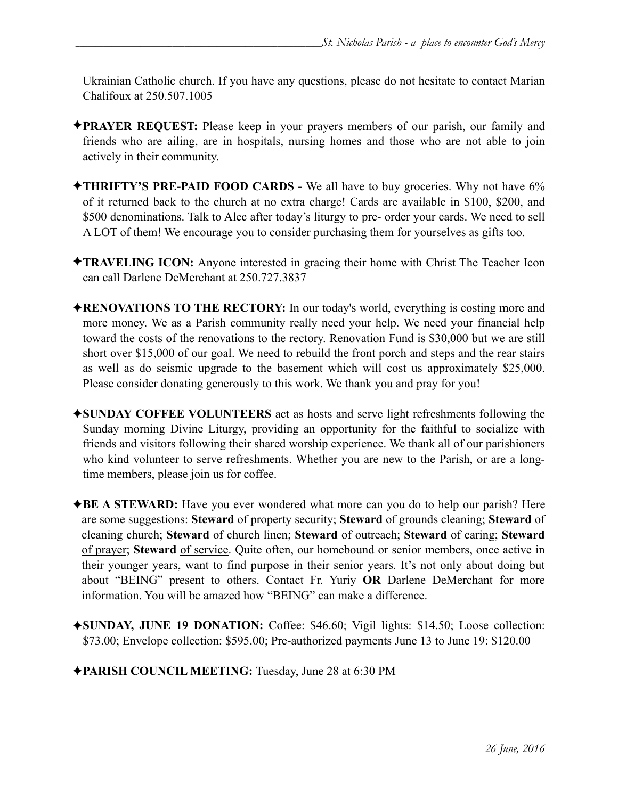Ukrainian Catholic church. If you have any questions, please do not hesitate to contact Marian Chalifoux at 250.507.1005

- ✦**PRAYER REQUEST:** Please keep in your prayers members of our parish, our family and friends who are ailing, are in hospitals, nursing homes and those who are not able to join actively in their community.
- ✦**THRIFTY'S PRE-PAID FOOD CARDS** We all have to buy groceries. Why not have 6% of it returned back to the church at no extra charge! Cards are available in \$100, \$200, and \$500 denominations. Talk to Alec after today's liturgy to pre- order your cards. We need to sell A LOT of them! We encourage you to consider purchasing them for yourselves as gifts too.
- ✦**TRAVELING ICON:** Anyone interested in gracing their home with Christ The Teacher Icon can call Darlene DeMerchant at 250.727.3837
- ✦**RENOVATIONS TO THE RECTORY:** In our today's world, everything is costing more and more money. We as a Parish community really need your help. We need your financial help toward the costs of the renovations to the rectory. Renovation Fund is \$30,000 but we are still short over \$15,000 of our goal. We need to rebuild the front porch and steps and the rear stairs as well as do seismic upgrade to the basement which will cost us approximately \$25,000. Please consider donating generously to this work. We thank you and pray for you!
- ✦**SUNDAY COFFEE VOLUNTEERS** act as hosts and serve light refreshments following the Sunday morning Divine Liturgy, providing an opportunity for the faithful to socialize with friends and visitors following their shared worship experience. We thank all of our parishioners who kind volunteer to serve refreshments. Whether you are new to the Parish, or are a longtime members, please join us for coffee.
- ✦**BE A STEWARD:** Have you ever wondered what more can you do to help our parish? Here are some suggestions: **Steward** of property security; **Steward** of grounds cleaning; **Steward** of cleaning church; **Steward** of church linen; **Steward** of outreach; **Steward** of caring; **Steward** of prayer; **Steward** of service. Quite often, our homebound or senior members, once active in their younger years, want to find purpose in their senior years. It's not only about doing but about "BEING" present to others. Contact Fr. Yuriy **OR** Darlene DeMerchant for more information. You will be amazed how "BEING" can make a difference.
- ✦**SUNDAY, JUNE 19 DONATION:** Coffee: \$46.60; Vigil lights: \$14.50; Loose collection: \$73.00; Envelope collection: \$595.00; Pre-authorized payments June 13 to June 19: \$120.00
- ✦**PARISH COUNCIL MEETING:** Tuesday, June 28 at 6:30 PM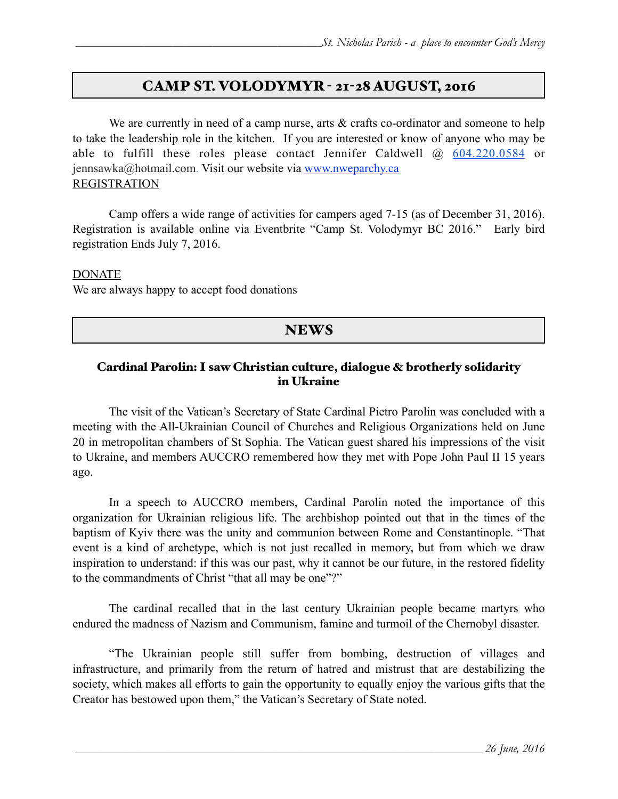#### CAMP ST. VOLODYMYR - 21-28 AUGUST, 2016

We are currently in need of a camp nurse, arts & crafts co-ordinator and someone to help to take the leadership role in the kitchen. If you are interested or know of anyone who may be able to fulfill these roles please contact Jennifer Caldwell @ 604.220.0584 or jennsawka@hotmail.com. Visit our website via [www.nweparchy.ca](http://www.nweparchy.ca/) REGISTRATION

Camp offers a wide range of activities for campers aged 7-15 (as of December 31, 2016). Registration is available online via Eventbrite "Camp St. Volodymyr BC 2016." Early bird registration Ends July 7, 2016.

#### DONATE

We are always happy to accept food donations

#### NEWS

#### Cardinal Parolin: I saw Christian culture, dialogue & brotherly solidarity in Ukraine

 The visit of the Vatican's Secretary of State Cardinal Pietro Parolin was concluded with a meeting with the All-Ukrainian Council of Churches and Religious Organizations held on June 20 in metropolitan chambers of St Sophia. The Vatican guest shared his impressions of the visit to Ukraine, and members AUCCRO remembered how they met with Pope John Paul II 15 years ago.

 In a speech to AUCCRO members, Cardinal Parolin noted the importance of this organization for Ukrainian religious life. The archbishop pointed out that in the times of the baptism of Kyiv there was the unity and communion between Rome and Constantinople. "That event is a kind of archetype, which is not just recalled in memory, but from which we draw inspiration to understand: if this was our past, why it cannot be our future, in the restored fidelity to the commandments of Christ "that all may be one"?"

 The cardinal recalled that in the last century Ukrainian people became martyrs who endured the madness of Nazism and Communism, famine and turmoil of the Chernobyl disaster.

 "The Ukrainian people still suffer from bombing, destruction of villages and infrastructure, and primarily from the return of hatred and mistrust that are destabilizing the society, which makes all efforts to gain the opportunity to equally enjoy the various gifts that the Creator has bestowed upon them," the Vatican's Secretary of State noted.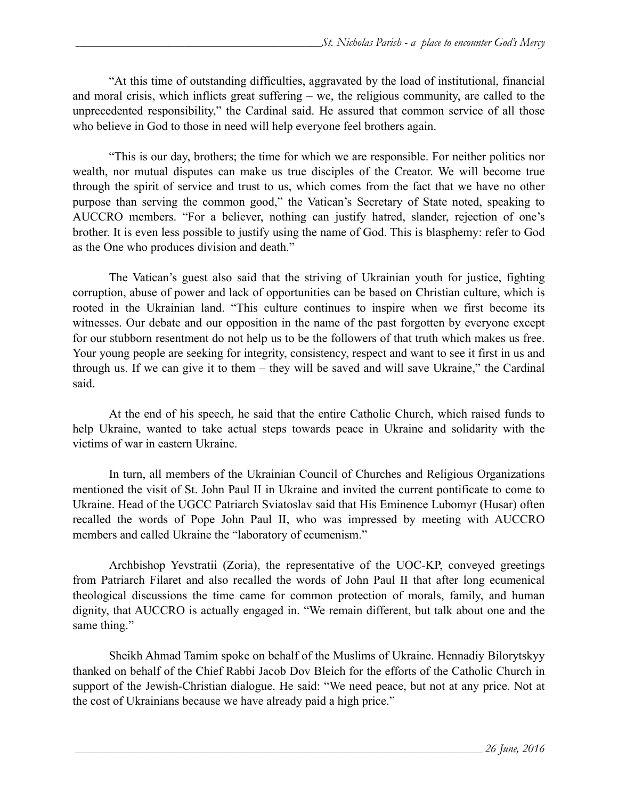"At this time of outstanding difficulties, aggravated by the load of institutional, financial and moral crisis, which inflicts great suffering – we, the religious community, are called to the unprecedented responsibility," the Cardinal said. He assured that common service of all those who believe in God to those in need will help everyone feel brothers again.

 "This is our day, brothers; the time for which we are responsible. For neither politics nor wealth, nor mutual disputes can make us true disciples of the Creator. We will become true through the spirit of service and trust to us, which comes from the fact that we have no other purpose than serving the common good," the Vatican's Secretary of State noted, speaking to AUCCRO members. "For a believer, nothing can justify hatred, slander, rejection of one's brother. It is even less possible to justify using the name of God. This is blasphemy: refer to God as the One who produces division and death."

 The Vatican's guest also said that the striving of Ukrainian youth for justice, fighting corruption, abuse of power and lack of opportunities can be based on Christian culture, which is rooted in the Ukrainian land. "This culture continues to inspire when we first become its witnesses. Our debate and our opposition in the name of the past forgotten by everyone except for our stubborn resentment do not help us to be the followers of that truth which makes us free. Your young people are seeking for integrity, consistency, respect and want to see it first in us and through us. If we can give it to them – they will be saved and will save Ukraine," the Cardinal said.

 At the end of his speech, he said that the entire Catholic Church, which raised funds to help Ukraine, wanted to take actual steps towards peace in Ukraine and solidarity with the victims of war in eastern Ukraine.

 In turn, all members of the Ukrainian Council of Churches and Religious Organizations mentioned the visit of St. John Paul II in Ukraine and invited the current pontificate to come to Ukraine. Head of the UGCC Patriarch Sviatoslav said that His Eminence Lubomyr (Husar) often recalled the words of Pope John Paul II, who was impressed by meeting with AUCCRO members and called Ukraine the "laboratory of ecumenism."

 Archbishop Yevstratii (Zoria), the representative of the UOC-KP, conveyed greetings from Patriarch Filaret and also recalled the words of John Paul II that after long ecumenical theological discussions the time came for common protection of morals, family, and human dignity, that AUCCRO is actually engaged in. "We remain different, but talk about one and the same thing."

 Sheikh Ahmad Tamim spoke on behalf of the Muslims of Ukraine. Hennadiy Bilorytskyy thanked on behalf of the Chief Rabbi Jacob Dov Bleich for the efforts of the Catholic Church in support of the Jewish-Christian dialogue. He said: "We need peace, but not at any price. Not at the cost of Ukrainians because we have already paid a high price."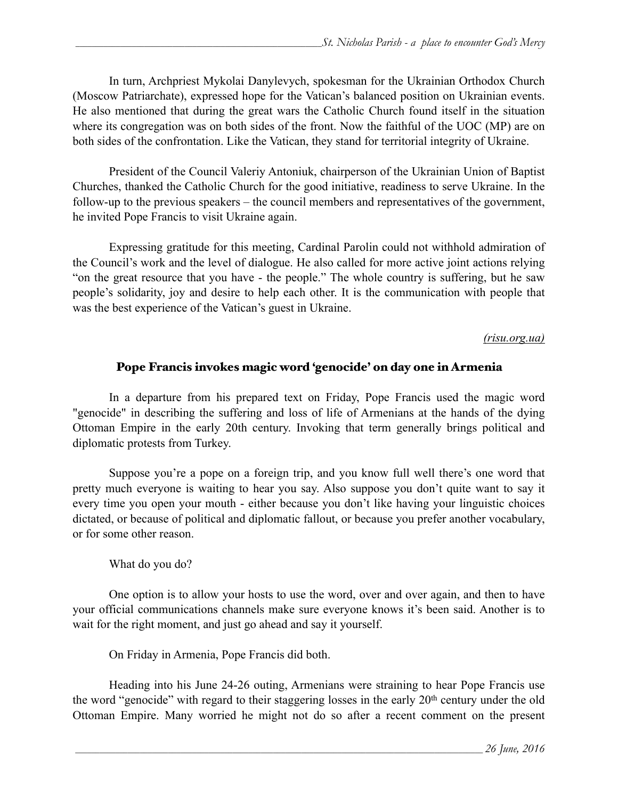In turn, Archpriest Mykolai Danylevych, spokesman for the Ukrainian Orthodox Church (Moscow Patriarchate), expressed hope for the Vatican's balanced position on Ukrainian events. He also mentioned that during the great wars the Catholic Church found itself in the situation where its congregation was on both sides of the front. Now the faithful of the UOC (MP) are on both sides of the confrontation. Like the Vatican, they stand for territorial integrity of Ukraine.

 President of the Council Valeriy Antoniuk, chairperson of the Ukrainian Union of Baptist Churches, thanked the Catholic Church for the good initiative, readiness to serve Ukraine. In the follow-up to the previous speakers – the council members and representatives of the government, he invited Pope Francis to visit Ukraine again.

 Expressing gratitude for this meeting, Cardinal Parolin could not withhold admiration of the Council's work and the level of dialogue. He also called for more active joint actions relying "on the great resource that you have - the people." The whole country is suffering, but he saw people's solidarity, joy and desire to help each other. It is the communication with people that was the best experience of the Vatican's guest in Ukraine.

#### *(risu.org.ua)*

#### Pope Francis invokes magic word 'genocide' on day one in Armenia

 In a departure from his prepared text on Friday, Pope Francis used the magic word "genocide" in describing the suffering and loss of life of Armenians at the hands of the dying Ottoman Empire in the early 20th century. Invoking that term generally brings political and diplomatic protests from Turkey.

Suppose you're a pope on a foreign trip, and you know full well there's one word that pretty much everyone is waiting to hear you say. Also suppose you don't quite want to say it every time you open your mouth - either because you don't like having your linguistic choices dictated, or because of political and diplomatic fallout, or because you prefer another vocabulary, or for some other reason.

What do you do?

One option is to allow your hosts to use the word, over and over again, and then to have your official communications channels make sure everyone knows it's been said. Another is to wait for the right moment, and just go ahead and say it yourself.

On Friday in Armenia, Pope Francis did both.

 Heading into his June 24-26 outing, Armenians were straining to hear Pope Francis use the word "genocide" with regard to their staggering losses in the early 20<sup>th</sup> century under the old Ottoman Empire. Many worried he might not do so after a recent comment on the present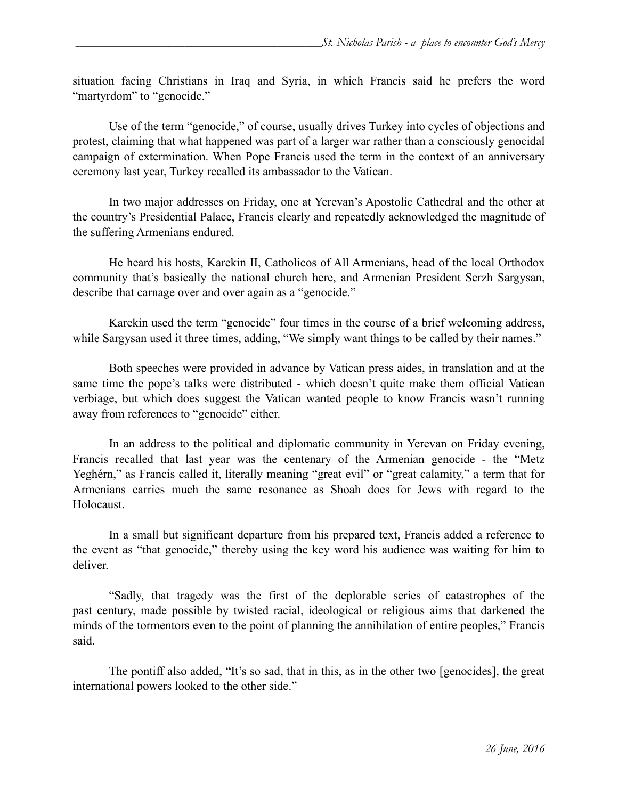situation facing Christians in Iraq and Syria, in which Francis said he prefers the word "martyrdom" to "genocide."

Use of the term "genocide," of course, usually drives Turkey into cycles of objections and protest, claiming that what happened was part of a larger war rather than a consciously genocidal campaign of extermination. When Pope Francis used the term in the context of an anniversary ceremony last year, Turkey recalled its ambassador to the Vatican.

In two major addresses on Friday, one at Yerevan's Apostolic Cathedral and the other at the country's Presidential Palace, Francis clearly and repeatedly acknowledged the magnitude of the suffering Armenians endured.

He heard his hosts, Karekin II, Catholicos of All Armenians, head of the local Orthodox community that's basically the national church here, and Armenian President Serzh Sargysan, describe that carnage over and over again as a "genocide."

Karekin used the term "genocide" four times in the course of a brief welcoming address, while Sargysan used it three times, adding, "We simply want things to be called by their names."

Both speeches were provided in advance by Vatican press aides, in translation and at the same time the pope's talks were distributed - which doesn't quite make them official Vatican verbiage, but which does suggest the Vatican wanted people to know Francis wasn't running away from references to "genocide" either.

In an address to the political and diplomatic community in Yerevan on Friday evening, Francis recalled that last year was the centenary of the Armenian genocide - the "Metz Yeghérn," as Francis called it, literally meaning "great evil" or "great calamity," a term that for Armenians carries much the same resonance as Shoah does for Jews with regard to the Holocaust.

In a small but significant departure from his prepared text, Francis added a reference to the event as "that genocide," thereby using the key word his audience was waiting for him to deliver.

"Sadly, that tragedy was the first of the deplorable series of catastrophes of the past century, made possible by twisted racial, ideological or religious aims that darkened the minds of the tormentors even to the point of planning the annihilation of entire peoples," Francis said.

The pontiff also added, "It's so sad, that in this, as in the other two [genocides], the great international powers looked to the other side."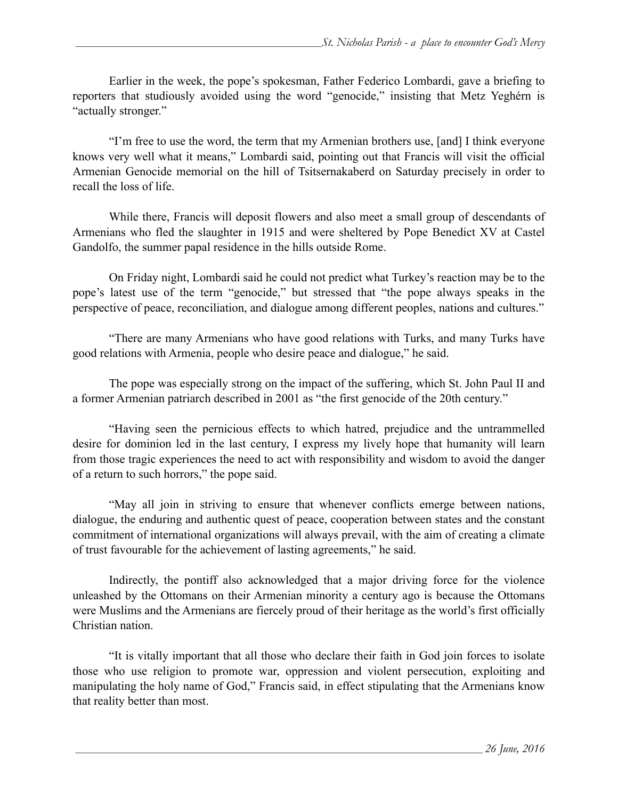Earlier in the week, the pope's spokesman, Father Federico Lombardi, gave a briefing to reporters that studiously avoided using the word "genocide," insisting that Metz Yeghérn is "actually stronger."

"I'm free to use the word, the term that my Armenian brothers use, [and] I think everyone knows very well what it means," Lombardi said, pointing out that Francis will visit the official Armenian Genocide memorial on the hill of Tsitsernakaberd on Saturday precisely in order to recall the loss of life.

While there, Francis will deposit flowers and also meet a small group of descendants of Armenians who fled the slaughter in 1915 and were sheltered by Pope Benedict XV at Castel Gandolfo, the summer papal residence in the hills outside Rome.

On Friday night, Lombardi said he could not predict what Turkey's reaction may be to the pope's latest use of the term "genocide," but stressed that "the pope always speaks in the perspective of peace, reconciliation, and dialogue among different peoples, nations and cultures."

"There are many Armenians who have good relations with Turks, and many Turks have good relations with Armenia, people who desire peace and dialogue," he said.

The pope was especially strong on the impact of the suffering, which St. John Paul II and a former Armenian patriarch described in 2001 as "the first genocide of the 20th century."

 "Having seen the pernicious effects to which hatred, prejudice and the untrammelled desire for dominion led in the last century, I express my lively hope that humanity will learn from those tragic experiences the need to act with responsibility and wisdom to avoid the danger of a return to such horrors," the pope said.

 "May all join in striving to ensure that whenever conflicts emerge between nations, dialogue, the enduring and authentic quest of peace, cooperation between states and the constant commitment of international organizations will always prevail, with the aim of creating a climate of trust favourable for the achievement of lasting agreements," he said.

Indirectly, the pontiff also acknowledged that a major driving force for the violence unleashed by the Ottomans on their Armenian minority a century ago is because the Ottomans were Muslims and the Armenians are fiercely proud of their heritage as the world's first officially Christian nation.

"It is vitally important that all those who declare their faith in God join forces to isolate those who use religion to promote war, oppression and violent persecution, exploiting and manipulating the holy name of God," Francis said, in effect stipulating that the Armenians know that reality better than most.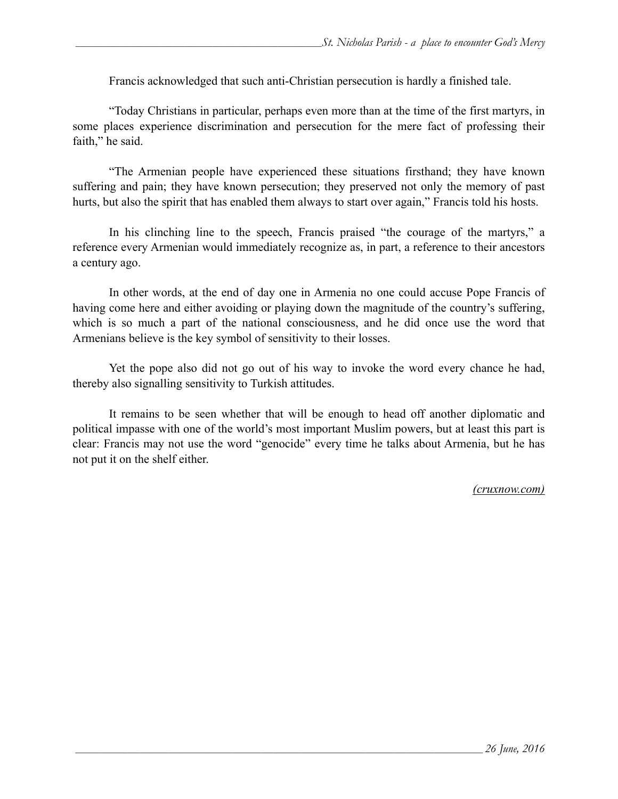Francis acknowledged that such anti-Christian persecution is hardly a finished tale.

"Today Christians in particular, perhaps even more than at the time of the first martyrs, in some places experience discrimination and persecution for the mere fact of professing their faith," he said.

"The Armenian people have experienced these situations firsthand; they have known suffering and pain; they have known persecution; they preserved not only the memory of past hurts, but also the spirit that has enabled them always to start over again," Francis told his hosts.

In his clinching line to the speech, Francis praised "the courage of the martyrs," a reference every Armenian would immediately recognize as, in part, a reference to their ancestors a century ago.

In other words, at the end of day one in Armenia no one could accuse Pope Francis of having come here and either avoiding or playing down the magnitude of the country's suffering, which is so much a part of the national consciousness, and he did once use the word that Armenians believe is the key symbol of sensitivity to their losses.

 Yet the pope also did not go out of his way to invoke the word every chance he had, thereby also signalling sensitivity to Turkish attitudes.

 It remains to be seen whether that will be enough to head off another diplomatic and political impasse with one of the world's most important Muslim powers, but at least this part is clear: Francis may not use the word "genocide" every time he talks about Armenia, but he has not put it on the shelf either.

*(cruxnow.com)*